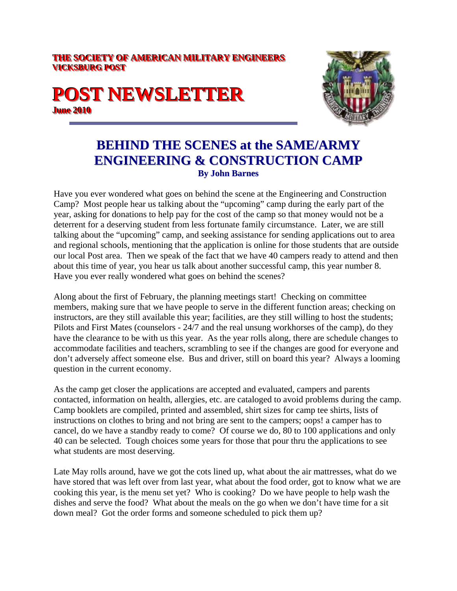#### **THE SOCIETY OF AMERICAN MILITARY ENGINEERS VICKSBURG POST**

# **POST NEWSLETTER June 2010**



#### **BEHIND THE SCENES at the SAME/ARMY ENGINEERING & CONSTRUCTION CAMP By John Barnes**

Have you ever wondered what goes on behind the scene at the Engineering and Construction Camp? Most people hear us talking about the "upcoming" camp during the early part of the year, asking for donations to help pay for the cost of the camp so that money would not be a deterrent for a deserving student from less fortunate family circumstance. Later, we are still talking about the "upcoming" camp, and seeking assistance for sending applications out to area and regional schools, mentioning that the application is online for those students that are outside our local Post area. Then we speak of the fact that we have 40 campers ready to attend and then about this time of year, you hear us talk about another successful camp, this year number 8. Have you ever really wondered what goes on behind the scenes?

Along about the first of February, the planning meetings start! Checking on committee members, making sure that we have people to serve in the different function areas; checking on instructors, are they still available this year; facilities, are they still willing to host the students; Pilots and First Mates (counselors - 24/7 and the real unsung workhorses of the camp), do they have the clearance to be with us this year. As the year rolls along, there are schedule changes to accommodate facilities and teachers, scrambling to see if the changes are good for everyone and don't adversely affect someone else. Bus and driver, still on board this year? Always a looming question in the current economy.

As the camp get closer the applications are accepted and evaluated, campers and parents contacted, information on health, allergies, etc. are cataloged to avoid problems during the camp. Camp booklets are compiled, printed and assembled, shirt sizes for camp tee shirts, lists of instructions on clothes to bring and not bring are sent to the campers; oops! a camper has to cancel, do we have a standby ready to come? Of course we do, 80 to 100 applications and only 40 can be selected. Tough choices some years for those that pour thru the applications to see what students are most deserving.

Late May rolls around, have we got the cots lined up, what about the air mattresses, what do we have stored that was left over from last year, what about the food order, got to know what we are cooking this year, is the menu set yet? Who is cooking? Do we have people to help wash the dishes and serve the food? What about the meals on the go when we don't have time for a sit down meal? Got the order forms and someone scheduled to pick them up?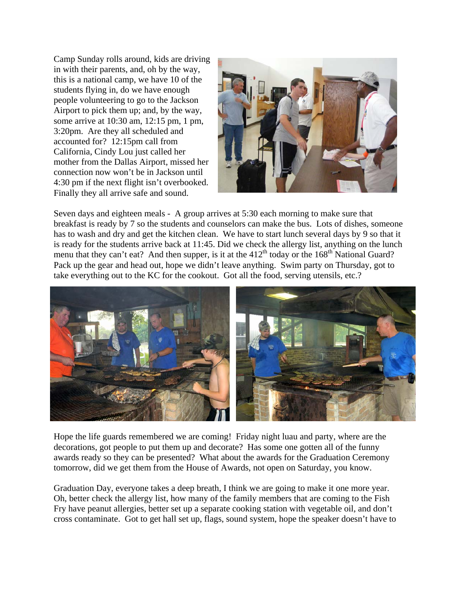Camp Sunday rolls around, kids are driving in with their parents, and, oh by the way, this is a national camp, we have 10 of the students flying in, do we have enough people volunteering to go to the Jackson Airport to pick them up; and, by the way, some arrive at 10:30 am, 12:15 pm, 1 pm, 3:20pm. Are they all scheduled and accounted for? 12:15pm call from California, Cindy Lou just called her mother from the Dallas Airport, missed her connection now won't be in Jackson until 4:30 pm if the next flight isn't overbooked. Finally they all arrive safe and sound.



Seven days and eighteen meals - A group arrives at 5:30 each morning to make sure that breakfast is ready by 7 so the students and counselors can make the bus. Lots of dishes, someone has to wash and dry and get the kitchen clean. We have to start lunch several days by 9 so that it is ready for the students arrive back at 11:45. Did we check the allergy list, anything on the lunch menu that they can't eat? And then supper, is it at the  $412<sup>th</sup>$  today or the  $168<sup>th</sup>$  National Guard? Pack up the gear and head out, hope we didn't leave anything. Swim party on Thursday, got to take everything out to the KC for the cookout. Got all the food, serving utensils, etc.?



Hope the life guards remembered we are coming! Friday night luau and party, where are the decorations, got people to put them up and decorate? Has some one gotten all of the funny awards ready so they can be presented? What about the awards for the Graduation Ceremony tomorrow, did we get them from the House of Awards, not open on Saturday, you know.

Graduation Day, everyone takes a deep breath, I think we are going to make it one more year. Oh, better check the allergy list, how many of the family members that are coming to the Fish Fry have peanut allergies, better set up a separate cooking station with vegetable oil, and don't cross contaminate. Got to get hall set up, flags, sound system, hope the speaker doesn't have to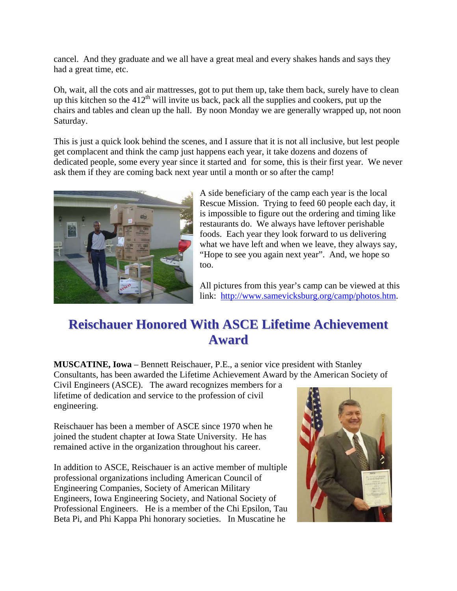cancel. And they graduate and we all have a great meal and every shakes hands and says they had a great time, etc.

Oh, wait, all the cots and air mattresses, got to put them up, take them back, surely have to clean up this kitchen so the  $412<sup>th</sup>$  will invite us back, pack all the supplies and cookers, put up the chairs and tables and clean up the hall. By noon Monday we are generally wrapped up, not noon Saturday.

This is just a quick look behind the scenes, and I assure that it is not all inclusive, but lest people get complacent and think the camp just happens each year, it take dozens and dozens of dedicated people, some every year since it started and for some, this is their first year. We never ask them if they are coming back next year until a month or so after the camp!



A side beneficiary of the camp each year is the local Rescue Mission. Trying to feed 60 people each day, it is impossible to figure out the ordering and timing like restaurants do. We always have leftover perishable foods. Each year they look forward to us delivering what we have left and when we leave, they always say, "Hope to see you again next year". And, we hope so too.

All pictures from this year's camp can be viewed at this link: http://www.samevicksburg.org/camp/photos.htm.

# **Reischauer Honored With ASCE Lifetime Achievement Award**

**MUSCATINE, Iowa** – Bennett Reischauer, P.E., a senior vice president with Stanley Consultants, has been awarded the Lifetime Achievement Award by the American Society of

Civil Engineers (ASCE). The award recognizes members for a lifetime of dedication and service to the profession of civil engineering.

Reischauer has been a member of ASCE since 1970 when he joined the student chapter at Iowa State University. He has remained active in the organization throughout his career.

In addition to ASCE, Reischauer is an active member of multiple professional organizations including American Council of Engineering Companies, Society of American Military Engineers, Iowa Engineering Society, and National Society of Professional Engineers. He is a member of the Chi Epsilon, Tau Beta Pi, and Phi Kappa Phi honorary societies. In Muscatine he

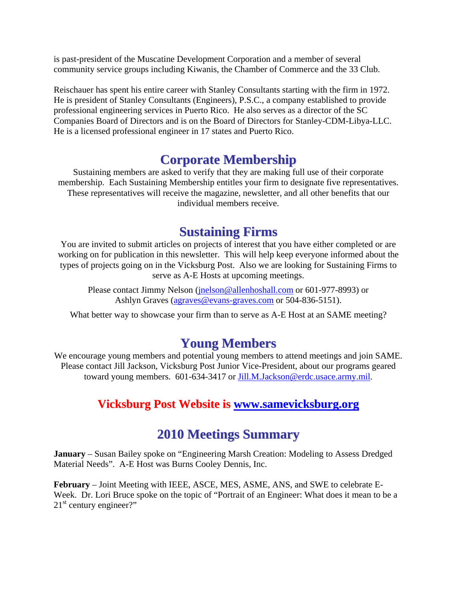is past-president of the Muscatine Development Corporation and a member of several community service groups including Kiwanis, the Chamber of Commerce and the 33 Club.

Reischauer has spent his entire career with Stanley Consultants starting with the firm in 1972. He is president of Stanley Consultants (Engineers), P.S.C., a company established to provide professional engineering services in Puerto Rico. He also serves as a director of the SC Companies Board of Directors and is on the Board of Directors for Stanley-CDM-Libya-LLC. He is a licensed professional engineer in 17 states and Puerto Rico.

# **Corporate Membership**

Sustaining members are asked to verify that they are making full use of their corporate membership. Each Sustaining Membership entitles your firm to designate five representatives. These representatives will receive the magazine, newsletter, and all other benefits that our individual members receive.

#### **Sustaining Firms**

You are invited to submit articles on projects of interest that you have either completed or are working on for publication in this newsletter. This will help keep everyone informed about the types of projects going on in the Vicksburg Post. Also we are looking for Sustaining Firms to serve as A-E Hosts at upcoming meetings.

Please contact Jimmy Nelson (jnelson@allenhoshall.com or 601-977-8993) or Ashlyn Graves (agraves@evans-graves.com or 504-836-5151).

What better way to showcase your firm than to serve as A-E Host at an SAME meeting?

## **Young Members**

We encourage young members and potential young members to attend meetings and join SAME. Please contact Jill Jackson, Vicksburg Post Junior Vice-President, about our programs geared toward young members. 601-634-3417 or Jill.M.Jackson@erdc.usace.army.mil.

#### **Vicksburg Post Website is www.samevicksburg.org**

## **2010 Meetings Summary**

**January** – Susan Bailey spoke on "Engineering Marsh Creation: Modeling to Assess Dredged Material Needs". A-E Host was Burns Cooley Dennis, Inc.

**February** – Joint Meeting with IEEE, ASCE, MES, ASME, ANS, and SWE to celebrate E-Week. Dr. Lori Bruce spoke on the topic of "Portrait of an Engineer: What does it mean to be a  $21<sup>st</sup>$  century engineer?"